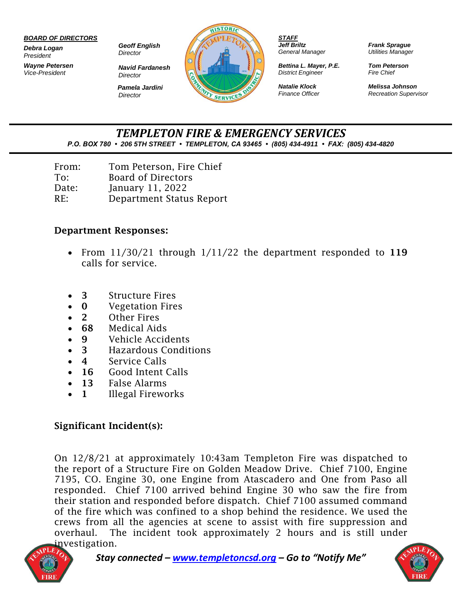#### *BOARD OF DIRECTORS*

*Debra Logan President*

*Wayne Petersen Vice-President*

*Geoff English Director*

*Navid Fardanesh Director Pamela Jardini Director*



*STAFF Jeff Briltz General Manager*

*Bettina L. Mayer, P.E. District Engineer*

*Natalie Klock Finance Officer* *Frank Sprague Utilities Manager*

*Tom Peterson Fire Chief*

*Melissa Johnson Recreation Supervisor*

*TEMPLETON FIRE & EMERGENCY SERVICES P.O. BOX 780 • 206 5TH STREET • TEMPLETON, CA 93465 • (805) 434-4911 • FAX: (805) 434-4820*

| From: | Tom Peterson, Fire Chief  |
|-------|---------------------------|
| To:   | <b>Board of Directors</b> |
| Date: | January 11, 2022          |
| RE:   | Department Status Report  |

#### Department Responses:

- From  $11/30/21$  through  $1/11/22$  the department responded to 119 calls for service.
- **3** Structure Fires
- **0 Vegetation Fires**
- 2 Other Fires
- 68 Medical Aids
- **9** Vehicle Accidents
- 3 Hazardous Conditions
- 4 Service Calls
- 16 Good Intent Calls
- 13 False Alarms
- 1 Illegal Fireworks

## Significant Incident(s):

On 12/8/21 at approximately 10:43am Templeton Fire was dispatched to the report of a Structure Fire on Golden Meadow Drive. Chief 7100, Engine 7195, CO. Engine 30, one Engine from Atascadero and One from Paso all responded. Chief 7100 arrived behind Engine 30 who saw the fire from their station and responded before dispatch. Chief 7100 assumed command of the fire which was confined to a shop behind the residence. We used the crews from all the agencies at scene to assist with fire suppression and overhaul. The incident took approximately 2 hours and is still under investigation.



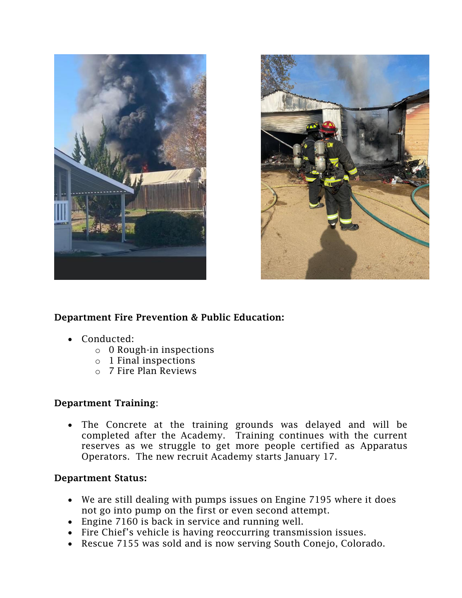



## Department Fire Prevention & Public Education:

- Conducted:
	- $\circ$  0 Rough-in inspections
	- o 1 Final inspections
	- o 7 Fire Plan Reviews

## Department Training:

• The Concrete at the training grounds was delayed and will be completed after the Academy. Training continues with the current reserves as we struggle to get more people certified as Apparatus Operators. The new recruit Academy starts January 17.

## Department Status:

- We are still dealing with pumps issues on Engine 7195 where it does not go into pump on the first or even second attempt.
- Engine 7160 is back in service and running well.
- Fire Chief's vehicle is having reoccurring transmission issues.
- Rescue 7155 was sold and is now serving South Conejo, Colorado.